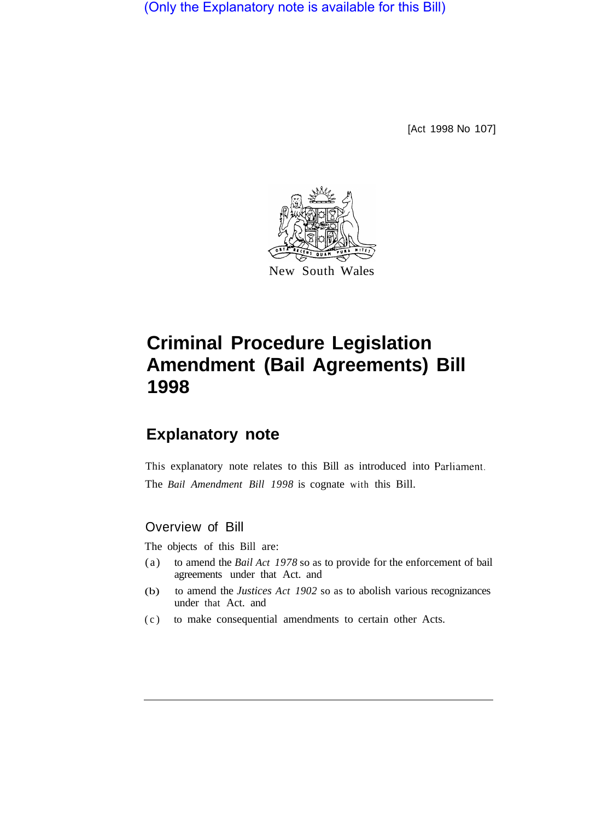(Only the Explanatory note is available for this Bill)

[Act 1998 No 107]



# **Criminal Procedure Legislation Amendment (Bail Agreements) Bill 1998**

# **Explanatory note**

This explanatory note relates to this Bill as introduced into Parliament. The *Bail Amendment Bill 1998* is cognate with this Bill.

## Overview of Bill

The objects of this Bill are:

- (a) to amend the *Bail Act 1978* so as to provide for the enforcement of bail agreements under that Act. and
- under that Act. and (b) to amend the *Justices Act 1902* so as to abolish various recognizances
- (c) to make consequential amendments to certain other Acts.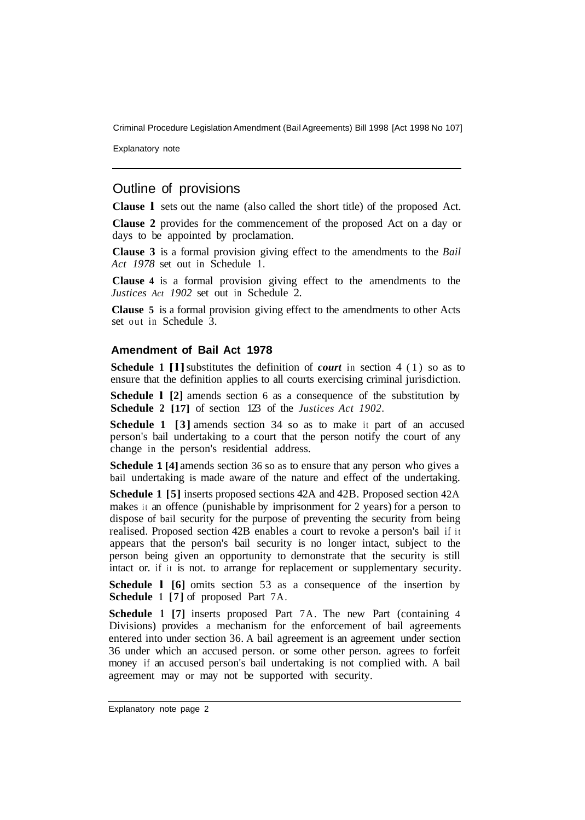Explanatory note

### Outline of provisions

**Clause l** sets out the name (also called the short title) of the proposed Act.

**Clause 2** provides for the commencement of the proposed Act on a day or days to be appointed by proclamation.

**Clause 3** is a formal provision giving effect to the amendments to the *Bail Act 1978* set out in Schedule 1.

**Clause 4** is a formal provision giving effect to the amendments to the *Justices Act 1902* set out in Schedule 2.

**Clause 5** is a formal provision giving effect to the amendments to other Acts set out in Schedule 3.

#### **Amendment of Bail Act 1978**

**Schedule 1 [1]** substitutes the definition of *court* in section 4 (1) so as to ensure that the definition applies to all courts exercising criminal jurisdiction.

**Schedule l [2]** amends section 6 as a consequence of the substitution by **Schedule 2 [17]** of section 123 of the *Justices Act 1902.* 

**Schedule 1** [3] amends section 34 so as to make it part of an accused person's bail undertaking to a court that the person notify the court of any change in the person's residential address.

**Schedule 1 [4]** amends section 36 so as to ensure that any person who gives a bail undertaking is made aware of the nature and effect of the undertaking.

**Schedule 1 [5]** inserts proposed sections 42A and 42B. Proposed section 42A makes it an offence (punishable by imprisonment for 2 years) for a person to dispose of bail security for the purpose of preventing the security from being realised. Proposed section 42B enables a court to revoke a person's bail if it appears that the person's bail security is no longer intact, subject to the person being given an opportunity to demonstrate that the security is still intact or. if it is not. to arrange for replacement or supplementary security.

**Schedule 1** [6] omits section 53 as a consequence of the insertion by **Schedule 1 [7]** of proposed Part 7A.

**Schedule 1 [7]** inserts proposed Part 7A. The new Part (containing 4 Divisions) provides a mechanism for the enforcement of bail agreements entered into under section 36. A bail agreement is an agreement under section 36 under which an accused person. or some other person. agrees to forfeit money if an accused person's bail undertaking is not complied with. A bail agreement may or may not be supported with security.

Explanatory note page 2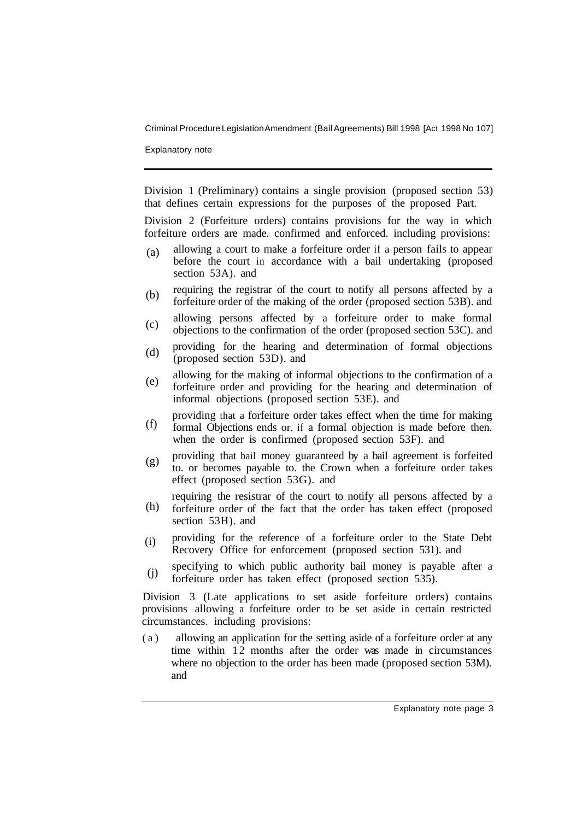Explanatory note

Division 1 (Preliminary) contains a single provision (proposed section 53) that defines certain expressions for the purposes of the proposed Part.

Division 2 (Forfeiture orders) contains provisions for the way in which forfeiture orders are made. confirmed and enforced. including provisions:

- allowing a court to make a forfeiture order if a person fails to appear before the court in accordance with a bail undertaking (proposed section 53A). and (a)
- requiring the registrar of the court to notify all persons affected by a forfeiture order of the making of the order (proposed section 53B). and (b)
- allowing persons affected by a forfeiture order to make formal objections to the confirmation of the order (proposed section 53C). and (c)
- providing for the hearing and determination of formal objections (proposed section 53D). and (d)
- allowing for the making of informal objections to the confirmation of a forfeiture order and providing for the hearing and determination of informal objections (proposed section 53E). and (e)
- providing that a forfeiture order takes effect when the time for making formal Objections ends or. if a formal objection is made before then. when the order is confirmed (proposed section 53F). and (f)
- providing that bail money guaranteed by a baiI agreement is forfeited to. or becomes payable to. the Crown when a forfeiture order takes effect (proposed section 53G). and (g)
- requiring the resistrar of the court to notify all persons affected by a forfeiture order of the fact that the order has taken effect (proposed section 53H). and (h)
- providing for the reference of a forfeiture order to the State Debt Recovery Office for enforcement (proposed section 531). and (i)
- specifying to which public authority bail money is payable after a forfeiture order has taken effect (proposed section 535). (j)

Division 3 (Late applications to set aside forfeiture orders) contains provisions allowing a forfeiture order to be set aside in certain restricted circumstances. including provisions:

(a) allowing an application for the setting aside of a forfeiture order at any time within 12 months after the order was made in circumstances where no objection to the order has been made (proposed section 53M). and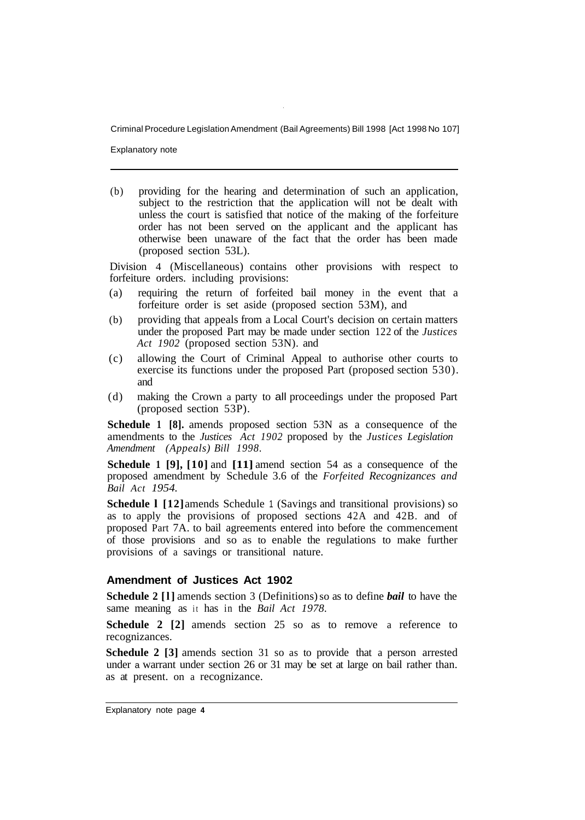Explanatory note

(b) providing for the hearing and determination of such an application, subject to the restriction that the application will not be dealt with unless the court is satisfied that notice of the making of the forfeiture order has not been served on the applicant and the applicant has otherwise been unaware of the fact that the order has been made (proposed section 53L).

Division 4 (Miscellaneous) contains other provisions with respect to forfeiture orders. including provisions:

- (a) requiring the return of forfeited bail money in the event that a forfeiture order is set aside (proposed section 53M), and
- (b) providing that appeals from a Local Court's decision on certain matters under the proposed Part may be made under section 122 of the *Justices Act 1902* (proposed section 53N). and
- (c) allowing the Court of Criminal Appeal to authorise other courts to exercise its functions under the proposed Part (proposed section 530). and
- (d) making the Crown a party to all proceedings under the proposed Part (proposed section 53P).

**Schedule 1 [8].** amends proposed section 53N as a consequence of the amendments to the *Justices Act 1902* proposed by the *Justices Legislation Amendment (Appeals) Bill 1998.* 

**Schedule 1 [9], [10]** and **[11]** amend section 54 as a consequence of the proposed amendment by Schedule 3.6 of the *Forfeited Recognizances and Bail Act 1954.* 

**Schedule 1 [12]** amends Schedule 1 (Savings and transitional provisions) so as to apply the provisions of proposed sections 42A and 42B. and of proposed Part 7A. to bail agreements entered into before the commencement of those provisions and so as to enable the regulations to make further provisions of a savings or transitional nature.

#### **Amendment of Justices Act 1902**

**Schedule 2 [l]** amends section 3 (Definitions) so as to define *bail* to have the same meaning as it has in the *Bail Act 1978.* 

**Schedule 2 [2]** amends section 25 so as to remove a reference to recognizances.

**Schedule 2 [3]** amends section 31 so as to provide that a person arrested under a warrant under section 26 or 31 may be set at large on bail rather than. as at present. on a recognizance.

Explanatory note page **4**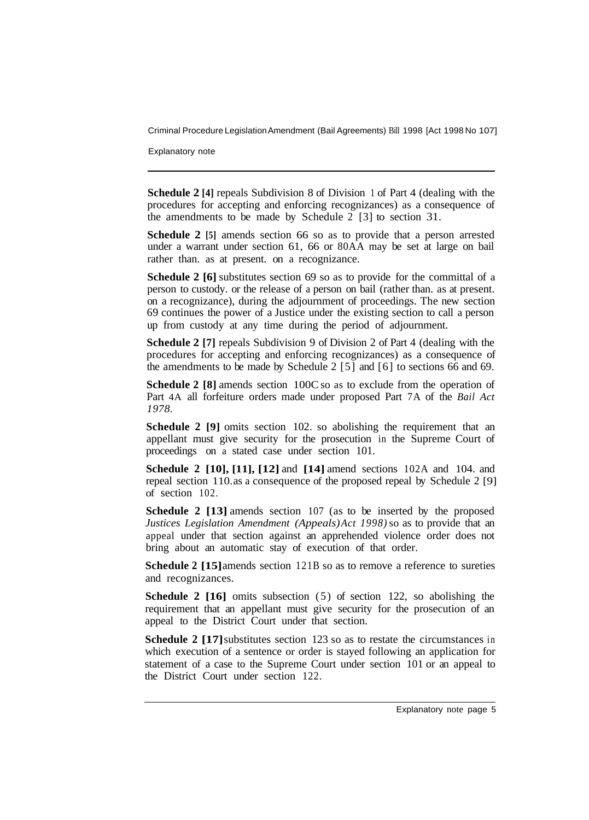Explanatory note

**Schedule 2 [4]** repeals Subdivision 8 of Division 1 of Part 4 (dealing with the procedures for accepting and enforcing recognizances) as a consequence of the amendments to be made by Schedule 2 [3] to section 31.

**Schedule 2** [5] amends section 66 so as to provide that a person arrested under a warrant under section 61, 66 or 80AA may be set at large on bail rather than. as at present. on a recognizance.

**Schedule 2 [6]** substitutes section 69 so as to provide for the committal of a person to custody. or the release of a person on bail (rather than. as at present. on a recognizance), during the adjournment of proceedings. The new section 69 continues the power of a Justice under the existing section to call a person up from custody at any time during the period of adjournment.

**Schedule 2 [7]** repeals Subdivision 9 of Division 2 of Part 4 (dealing with the procedures for accepting and enforcing recognizances) as a consequence of the amendments to be made by Schedule 2 [5] and [6] to sections 66 and 69.

**Schedule 2 [8]** amends section 100C so as to exclude from the operation of Part 4A all forfeiture orders made under proposed Part 7A of the *Bail Act 1978.* 

**Schedule 2 [9]** omits section 102. so abolishing the requirement that an appellant must give security for the prosecution in the Supreme Court of proceedings on a stated case under section 101.

**Schedule 2 [10], [11], [12]** and **[14]** amend sections 102A and 104. and repeal section 110. as a consequence of the proposed repeal by Schedule 2 [9] of section 102.

**Schedule 2 [13]** amends section 107 (as to be inserted by the proposed *Justices Legislation Amendment (Appeals) Act 1998)* so as to provide that an appeal under that section against an apprehended violence order does not bring about an automatic stay of execution of that order.

**Schedule 2 [15]** amends section 121B so as to remove a reference to sureties and recognizances.

**Schedule 2 [16]** omits subsection (5) of section 122, so abolishing the requirement that an appellant must give security for the prosecution of an appeal to the District Court under that section.

**Schedule 2 [17]** substitutes section 123 so as to restate the circumstances in which execution of a sentence or order is stayed following an application for statement of a case to the Supreme Court under section 101 or an appeal to the District Court under section 122.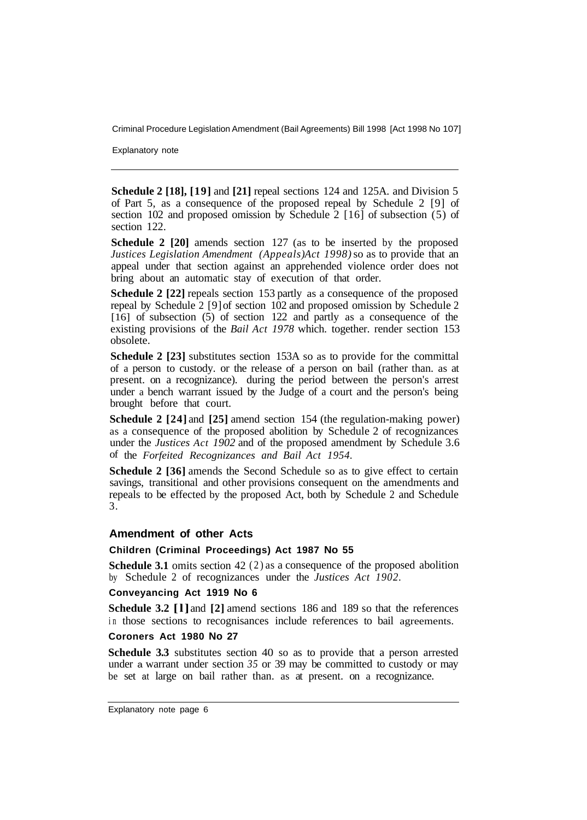Explanatory note

**Schedule 2 [18], [19]** and **[21]** repeal sections 124 and 125A. and Division 5 of Part 5, as a consequence of the proposed repeal by Schedule 2 [9] of section 102 and proposed omission by Schedule 2 [16] of subsection (5) of section 122.

**Schedule 2 [20]** amends section 127 (as to be inserted by the proposed *Justices Legislation Amendment (Appeals) Act 1998)* so as to provide that an appeal under that section against an apprehended violence order does not bring about an automatic stay of execution of that order.

**Schedule 2 [22] repeals section 153 partly as a consequence of the proposed** repeal by Schedule 2 [9] of section 102 and proposed omission by Schedule 2 [16] of subsection (5) of section 122 and partly as a consequence of the existing provisions of the *Bail Act 1978* which. together. render section 153 obsolete.

**Schedule 2 [23]** substitutes section 153A so as to provide for the committal of a person to custody. or the release of a person on bail (rather than. as at present. on a recognizance). during the period between the person's arrest under a bench warrant issued by the Judge of a court and the person's being brought before that court.

**Schedule 2 [24]** and **[25]** amend section 154 (the regulation-making power) as a consequence of the proposed abolition by Schedule 2 of recognizances under the *Justices Act 1902* and of the proposed amendment by Schedule 3.6 of the *Forfeited Recognizances and Bail Act 1954.* 

**Schedule 2 [36]** amends the Second Schedule so as to give effect to certain savings, transitional and other provisions consequent on the amendments and repeals to be effected by the proposed Act, both by Schedule 2 and Schedule 3.

#### **Amendment of other Acts**

#### **Children (Criminal Proceedings) Act 1987 No 55**

**Schedule 3.1** omits section 42 (2) as a consequence of the proposed abolition by Schedule 2 of recognizances under the *Justices Act 1902.* 

#### **Conveyancing Act 1919 No 6**

**Schedule 3.2 [l]** and **[2]** amend sections 186 and 189 so that the references in those sections to recognisances include references to bail agreements.

#### **Coroners Act 1980 No 27**

**Schedule 3.3** substitutes section 40 so as to provide that a person arrested under a warrant under section *35* or 39 may be committed to custody or may be set at large on bail rather than. as at present. on a recognizance.